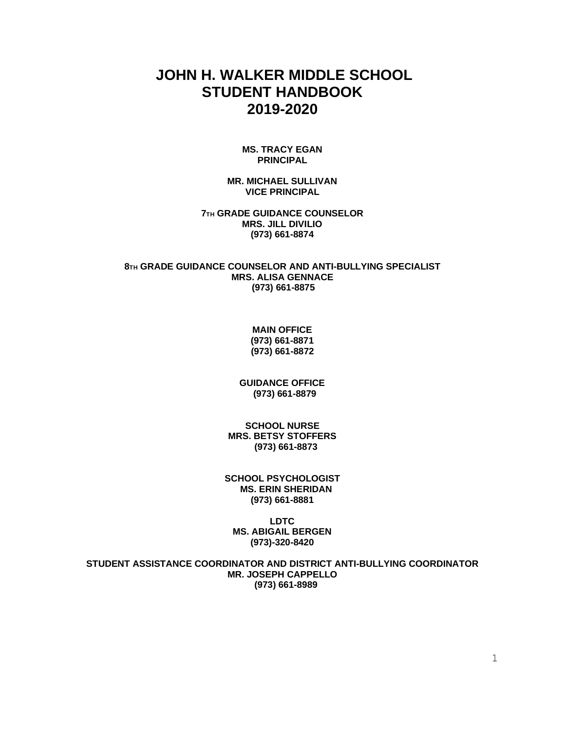# **JOHN H. WALKER MIDDLE SCHOOL STUDENT HANDBOOK 2019-2020**

#### **MS. TRACY EGAN PRINCIPAL**

**MR. MICHAEL SULLIVAN VICE PRINCIPAL**

**7TH GRADE GUIDANCE COUNSELOR MRS. JILL DIVILIO (973) 661-8874**

**8TH GRADE GUIDANCE COUNSELOR AND ANTI-BULLYING SPECIALIST MRS. ALISA GENNACE (973) 661-8875**

> **MAIN OFFICE (973) 661-8871 (973) 661-8872**

**GUIDANCE OFFICE (973) 661-8879**

**SCHOOL NURSE MRS. BETSY STOFFERS (973) 661-8873**

**SCHOOL PSYCHOLOGIST MS. ERIN SHERIDAN (973) 661-8881**

**LDTC MS. ABIGAIL BERGEN (973)-320-8420**

**STUDENT ASSISTANCE COORDINATOR AND DISTRICT ANTI-BULLYING COORDINATOR MR. JOSEPH CAPPELLO (973) 661-8989**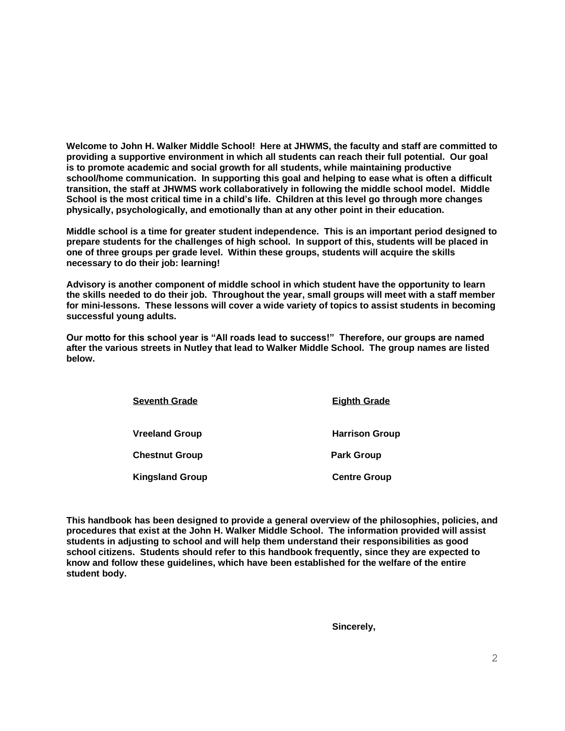**Welcome to John H. Walker Middle School! Here at JHWMS, the faculty and staff are committed to providing a supportive environment in which all students can reach their full potential. Our goal is to promote academic and social growth for all students, while maintaining productive school/home communication. In supporting this goal and helping to ease what is often a difficult transition, the staff at JHWMS work collaboratively in following the middle school model. Middle School is the most critical time in a child's life. Children at this level go through more changes physically, psychologically, and emotionally than at any other point in their education.** 

**Middle school is a time for greater student independence. This is an important period designed to prepare students for the challenges of high school. In support of this, students will be placed in one of three groups per grade level. Within these groups, students will acquire the skills necessary to do their job: learning!**

**Advisory is another component of middle school in which student have the opportunity to learn the skills needed to do their job. Throughout the year, small groups will meet with a staff member for mini-lessons. These lessons will cover a wide variety of topics to assist students in becoming successful young adults.** 

**Our motto for this school year is "All roads lead to success!" Therefore, our groups are named after the various streets in Nutley that lead to Walker Middle School. The group names are listed below.**

| <b>Seventh Grade</b>   | <b>Eighth Grade</b>   |
|------------------------|-----------------------|
| <b>Vreeland Group</b>  | <b>Harrison Group</b> |
| <b>Chestnut Group</b>  | <b>Park Group</b>     |
| <b>Kingsland Group</b> | <b>Centre Group</b>   |

**This handbook has been designed to provide a general overview of the philosophies, policies, and procedures that exist at the John H. Walker Middle School. The information provided will assist students in adjusting to school and will help them understand their responsibilities as good school citizens. Students should refer to this handbook frequently, since they are expected to know and follow these guidelines, which have been established for the welfare of the entire student body.**

**Sincerely,**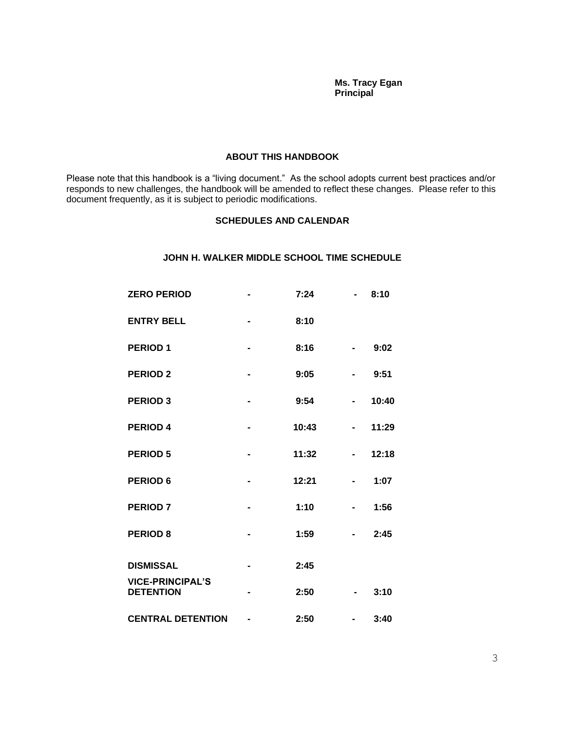#### **Ms. Tracy Egan Principal Principal**

#### **ABOUT THIS HANDBOOK**

Please note that this handbook is a "living document." As the school adopts current best practices and/or responds to new challenges, the handbook will be amended to reflect these changes. Please refer to this document frequently, as it is subject to periodic modifications.

## **SCHEDULES AND CALENDAR**

## **JOHN H. WALKER MIDDLE SCHOOL TIME SCHEDULE**

| <b>ZERO PERIOD</b>                          |                | 7:24  |                | 8:10  |
|---------------------------------------------|----------------|-------|----------------|-------|
| <b>ENTRY BELL</b>                           | $\blacksquare$ | 8:10  |                |       |
| <b>PERIOD1</b>                              | $\blacksquare$ | 8:16  |                | 9:02  |
| <b>PERIOD 2</b>                             | $\blacksquare$ | 9:05  |                | 9:51  |
| <b>PERIOD 3</b>                             | $\blacksquare$ | 9:54  | $\blacksquare$ | 10:40 |
| <b>PERIOD 4</b>                             |                | 10:43 |                | 11:29 |
| <b>PERIOD 5</b>                             | -              | 11:32 | ۰              | 12:18 |
| <b>PERIOD 6</b>                             |                | 12:21 |                | 1:07  |
| <b>PERIOD 7</b>                             |                | 1:10  |                | 1:56  |
| <b>PERIOD 8</b>                             |                | 1:59  |                | 2:45  |
| <b>DISMISSAL</b>                            |                | 2:45  |                |       |
| <b>VICE-PRINCIPAL'S</b><br><b>DETENTION</b> |                | 2:50  |                | 3:10  |
| <b>CENTRAL DETENTION</b>                    |                | 2:50  |                | 3:40  |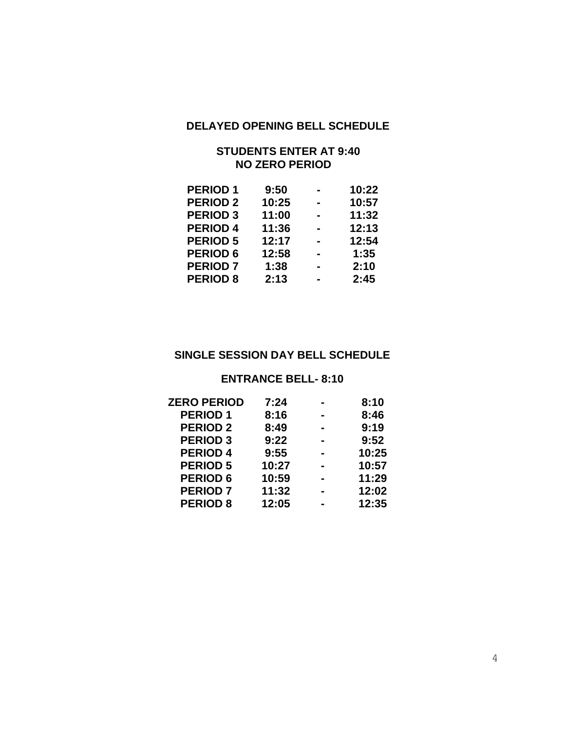## **DELAYED OPENING BELL SCHEDULE**

## **STUDENTS ENTER AT 9:40 NO ZERO PERIOD**

| <b>PERIOD1</b>  | 9:50  | 10:22 |
|-----------------|-------|-------|
| <b>PERIOD 2</b> | 10:25 | 10:57 |
| <b>PERIOD 3</b> | 11:00 | 11:32 |
| <b>PERIOD 4</b> | 11:36 | 12:13 |
| <b>PERIOD 5</b> | 12:17 | 12:54 |
| <b>PERIOD 6</b> | 12:58 | 1:35  |
| <b>PERIOD 7</b> | 1:38  | 2:10  |
| <b>PERIOD 8</b> | 2:13  | 2:45  |
|                 |       |       |

## **SINGLE SESSION DAY BELL SCHEDULE**

## **ENTRANCE BELL- 8:10**

| <b>ZERO PERIOD</b> | 7:24  | 8:10  |
|--------------------|-------|-------|
| <b>PERIOD1</b>     | 8:16  | 8:46  |
| <b>PERIOD 2</b>    | 8:49  | 9:19  |
| <b>PERIOD 3</b>    | 9:22  | 9:52  |
| <b>PERIOD 4</b>    | 9:55  | 10:25 |
| <b>PERIOD 5</b>    | 10:27 | 10:57 |
| <b>PERIOD 6</b>    | 10:59 | 11:29 |
| <b>PERIOD 7</b>    | 11:32 | 12:02 |
| <b>PERIOD 8</b>    | 12:05 | 12:35 |
|                    |       |       |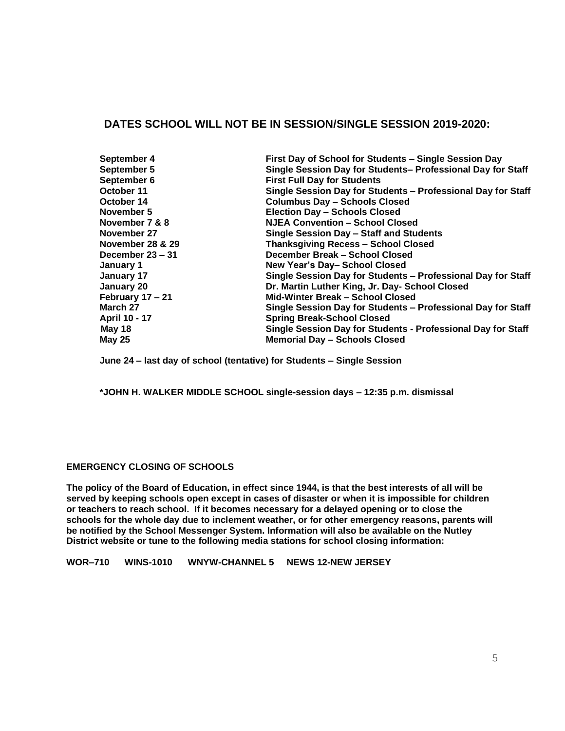## **DATES SCHOOL WILL NOT BE IN SESSION/SINGLE SESSION 2019-2020:**

| September 4<br>September 5<br>September 6<br>October 11<br>October 14<br>November 5<br>November 7 & 8<br>November 27<br>November 28 & 29<br>December $23 - 31$<br>January 1<br>January 17<br>January 20<br>February 17 - 21<br>March 27 | First Day of School for Students - Single Session Day<br>Single Session Day for Students- Professional Day for Staff<br><b>First Full Day for Students</b><br>Single Session Day for Students - Professional Day for Staff<br><b>Columbus Day - Schools Closed</b><br><b>Election Day - Schools Closed</b><br><b>NJEA Convention - School Closed</b><br>Single Session Day - Staff and Students<br><b>Thanksgiving Recess - School Closed</b><br>December Break - School Closed<br>New Year's Day-School Closed<br>Single Session Day for Students - Professional Day for Staff<br>Dr. Martin Luther King, Jr. Day- School Closed<br>Mid-Winter Break - School Closed |
|-----------------------------------------------------------------------------------------------------------------------------------------------------------------------------------------------------------------------------------------|-----------------------------------------------------------------------------------------------------------------------------------------------------------------------------------------------------------------------------------------------------------------------------------------------------------------------------------------------------------------------------------------------------------------------------------------------------------------------------------------------------------------------------------------------------------------------------------------------------------------------------------------------------------------------|
|                                                                                                                                                                                                                                         |                                                                                                                                                                                                                                                                                                                                                                                                                                                                                                                                                                                                                                                                       |
| April 10 - 17                                                                                                                                                                                                                           | Single Session Day for Students - Professional Day for Staff<br><b>Spring Break-School Closed</b>                                                                                                                                                                                                                                                                                                                                                                                                                                                                                                                                                                     |
| May 18<br><b>May 25</b>                                                                                                                                                                                                                 | Single Session Day for Students - Professional Day for Staff<br><b>Memorial Day - Schools Closed</b>                                                                                                                                                                                                                                                                                                                                                                                                                                                                                                                                                                  |

**June 24 – last day of school (tentative) for Students – Single Session**

**\*JOHN H. WALKER MIDDLE SCHOOL single-session days – 12:35 p.m. dismissal**

## **EMERGENCY CLOSING OF SCHOOLS**

**The policy of the Board of Education, in effect since 1944, is that the best interests of all will be served by keeping schools open except in cases of disaster or when it is impossible for children or teachers to reach school. If it becomes necessary for a delayed opening or to close the schools for the whole day due to inclement weather, or for other emergency reasons, parents will be notified by the School Messenger System. Information will also be available on the Nutley District website or tune to the following media stations for school closing information:**

**WOR–710 WINS-1010 WNYW-CHANNEL 5 NEWS 12-NEW JERSEY**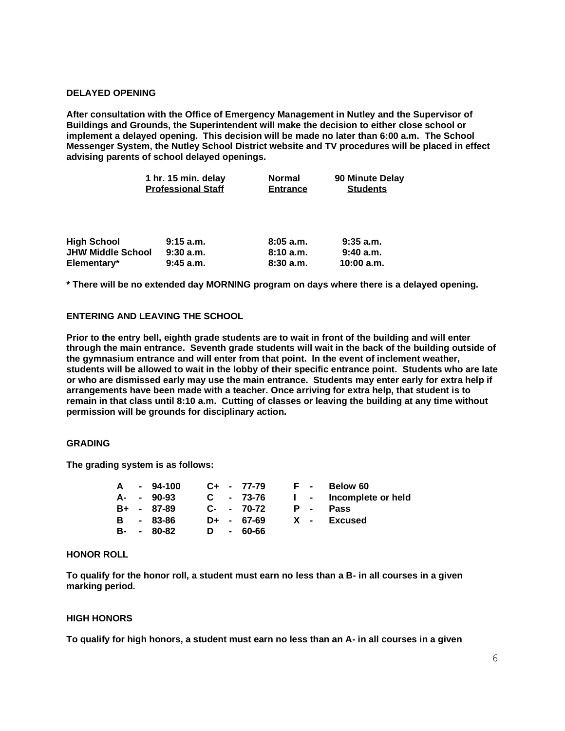#### **DELAYED OPENING**

**After consultation with the Office of Emergency Management in Nutley and the Supervisor of Buildings and Grounds, the Superintendent will make the decision to either close school or implement a delayed opening. This decision will be made no later than 6:00 a.m. The School Messenger System, the Nutley School District website and TV procedures will be placed in effect advising parents of school delayed openings.**

| 1 hr. 15 min. delay       | Normal   | 90 Minute Delay |
|---------------------------|----------|-----------------|
| <b>Professional Staff</b> | Entrance | <b>Students</b> |
|                           |          |                 |

| <b>High School</b>       | 9:15a.m.    | 8:05a.m. | $9:35$ a.m. |
|--------------------------|-------------|----------|-------------|
| <b>JHW Middle School</b> | 9:30a.m.    | 8:10a.m. | 9:40a.m.    |
| Elementary*              | $9:45$ a.m. | 8:30a.m. | 10:00 a.m.  |

**\* There will be no extended day MORNING program on days where there is a delayed opening.**

### **ENTERING AND LEAVING THE SCHOOL**

**Prior to the entry bell, eighth grade students are to wait in front of the building and will enter through the main entrance. Seventh grade students will wait in the back of the building outside of the gymnasium entrance and will enter from that point. In the event of inclement weather, students will be allowed to wait in the lobby of their specific entrance point. Students who are late or who are dismissed early may use the main entrance. Students may enter early for extra help if arrangements have been made with a teacher. Once arriving for extra help, that student is to remain in that class until 8:10 a.m. Cutting of classes or leaving the building at any time without permission will be grounds for disciplinary action.** 

#### **GRADING**

**The grading system is as follows:**

|  | A - 94-100   |  | C+ - 77-79   | $\mathbf{F}$ . The set of $\mathbf{F}$ |            | Below 60               |
|--|--------------|--|--------------|----------------------------------------|------------|------------------------|
|  | $A - 90-93$  |  | $C - 73-76$  |                                        |            | I - Incomplete or held |
|  | B+ - 87-89   |  | $C- - 70-72$ |                                        | <b>P</b> - | <b>Pass</b>            |
|  | B - 83-86    |  | $D+ - 67-69$ |                                        |            | X - Excused            |
|  | $B- - 80-82$ |  | D - 60-66    |                                        |            |                        |

### **HONOR ROLL**

**To qualify for the honor roll, a student must earn no less than a B- in all courses in a given marking period.**

#### **HIGH HONORS**

**To qualify for high honors, a student must earn no less than an A- in all courses in a given**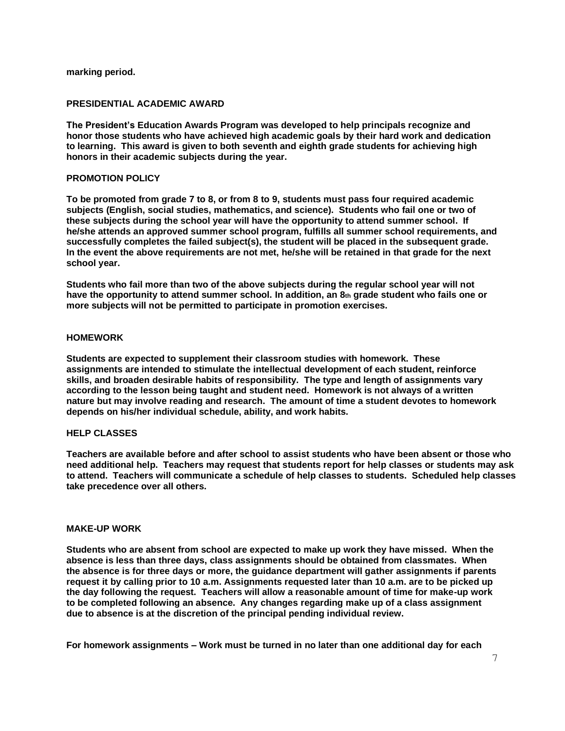**marking period.**

### **PRESIDENTIAL ACADEMIC AWARD**

**The President's Education Awards Program was developed to help principals recognize and honor those students who have achieved high academic goals by their hard work and dedication to learning. This award is given to both seventh and eighth grade students for achieving high honors in their academic subjects during the year.**

#### **PROMOTION POLICY**

**To be promoted from grade 7 to 8, or from 8 to 9, students must pass four required academic subjects (English, social studies, mathematics, and science). Students who fail one or two of these subjects during the school year will have the opportunity to attend summer school. If he/she attends an approved summer school program, fulfills all summer school requirements, and successfully completes the failed subject(s), the student will be placed in the subsequent grade. In the event the above requirements are not met, he/she will be retained in that grade for the next school year.**

**Students who fail more than two of the above subjects during the regular school year will not have the opportunity to attend summer school. In addition, an 8th grade student who fails one or more subjects will not be permitted to participate in promotion exercises.**

### **HOMEWORK**

**Students are expected to supplement their classroom studies with homework. These assignments are intended to stimulate the intellectual development of each student, reinforce skills, and broaden desirable habits of responsibility. The type and length of assignments vary according to the lesson being taught and student need. Homework is not always of a written nature but may involve reading and research. The amount of time a student devotes to homework depends on his/her individual schedule, ability, and work habits.**

## **HELP CLASSES**

**Teachers are available before and after school to assist students who have been absent or those who need additional help. Teachers may request that students report for help classes or students may ask to attend. Teachers will communicate a schedule of help classes to students. Scheduled help classes take precedence over all others.**

#### **MAKE-UP WORK**

**Students who are absent from school are expected to make up work they have missed. When the absence is less than three days, class assignments should be obtained from classmates. When the absence is for three days or more, the guidance department will gather assignments if parents request it by calling prior to 10 a.m. Assignments requested later than 10 a.m. are to be picked up the day following the request. Teachers will allow a reasonable amount of time for make-up work to be completed following an absence. Any changes regarding make up of a class assignment due to absence is at the discretion of the principal pending individual review.**

**For homework assignments – Work must be turned in no later than one additional day for each**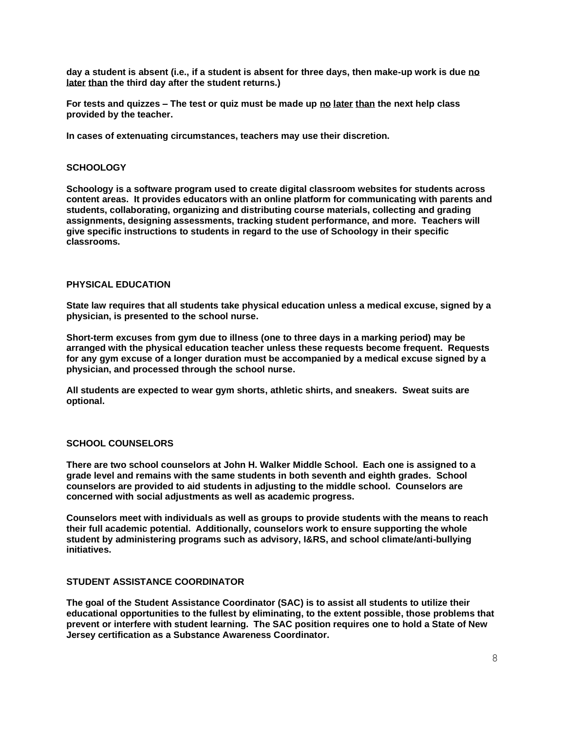**day a student is absent (i.e., if a student is absent for three days, then make-up work is due no later than the third day after the student returns.)**

**For tests and quizzes – The test or quiz must be made up no later than the next help class provided by the teacher.**

**In cases of extenuating circumstances, teachers may use their discretion.**

#### **SCHOOLOGY**

**Schoology is a software program used to create digital classroom websites for students across content areas. It provides educators with an online platform for communicating with parents and students, collaborating, organizing and distributing course materials, collecting and grading assignments, designing assessments, tracking student performance, and more. Teachers will give specific instructions to students in regard to the use of Schoology in their specific classrooms.** 

#### **PHYSICAL EDUCATION**

**State law requires that all students take physical education unless a medical excuse, signed by a physician, is presented to the school nurse.** 

**Short-term excuses from gym due to illness (one to three days in a marking period) may be arranged with the physical education teacher unless these requests become frequent. Requests for any gym excuse of a longer duration must be accompanied by a medical excuse signed by a physician, and processed through the school nurse.**

**All students are expected to wear gym shorts, athletic shirts, and sneakers. Sweat suits are optional.**

#### **SCHOOL COUNSELORS**

**There are two school counselors at John H. Walker Middle School. Each one is assigned to a grade level and remains with the same students in both seventh and eighth grades. School counselors are provided to aid students in adjusting to the middle school. Counselors are concerned with social adjustments as well as academic progress.**

**Counselors meet with individuals as well as groups to provide students with the means to reach their full academic potential. Additionally, counselors work to ensure supporting the whole student by administering programs such as advisory, I&RS, and school climate/anti-bullying initiatives.** 

#### **STUDENT ASSISTANCE COORDINATOR**

**The goal of the Student Assistance Coordinator (SAC) is to assist all students to utilize their educational opportunities to the fullest by eliminating, to the extent possible, those problems that prevent or interfere with student learning. The SAC position requires one to hold a State of New Jersey certification as a Substance Awareness Coordinator.**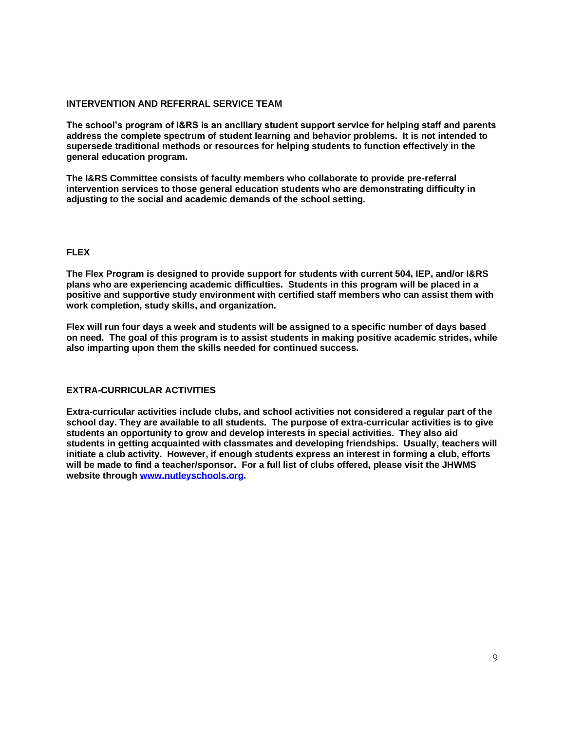### **INTERVENTION AND REFERRAL SERVICE TEAM**

**The school's program of I&RS is an ancillary student support service for helping staff and parents address the complete spectrum of student learning and behavior problems. It is not intended to supersede traditional methods or resources for helping students to function effectively in the general education program.**

**The I&RS Committee consists of faculty members who collaborate to provide pre-referral intervention services to those general education students who are demonstrating difficulty in adjusting to the social and academic demands of the school setting.**

## **FLEX**

**The Flex Program is designed to provide support for students with current 504, IEP, and/or I&RS plans who are experiencing academic difficulties. Students in this program will be placed in a positive and supportive study environment with certified staff members who can assist them with work completion, study skills, and organization.** 

**Flex will run four days a week and students will be assigned to a specific number of days based on need. The goal of this program is to assist students in making positive academic strides, while also imparting upon them the skills needed for continued success.** 

## **EXTRA-CURRICULAR ACTIVITIES**

**Extra-curricular activities include clubs, and school activities not considered a regular part of the school day. They are available to all students. The purpose of extra-curricular activities is to give students an opportunity to grow and develop interests in special activities. They also aid students in getting acquainted with classmates and developing friendships. Usually, teachers will initiate a club activity. However, if enough students express an interest in forming a club, efforts will be made to find a teacher/sponsor. For a full list of clubs offered, please visit the JHWMS website through [www.nutleyschools.org.](http://www.nutleyschools.org/)**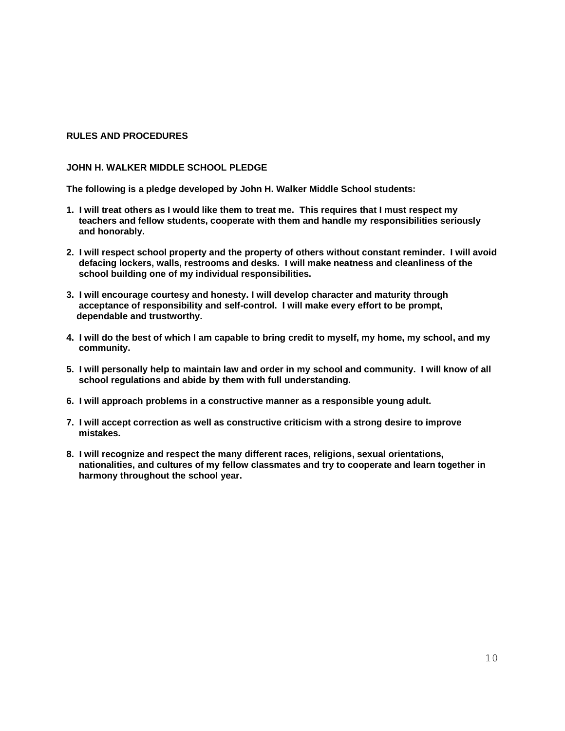## **RULES AND PROCEDURES**

### **JOHN H. WALKER MIDDLE SCHOOL PLEDGE**

**The following is a pledge developed by John H. Walker Middle School students:**

- **1. I will treat others as I would like them to treat me. This requires that I must respect my teachers and fellow students, cooperate with them and handle my responsibilities seriously and honorably.**
- **2. I will respect school property and the property of others without constant reminder. I will avoid defacing lockers, walls, restrooms and desks. I will make neatness and cleanliness of the school building one of my individual responsibilities.**
- **3. I will encourage courtesy and honesty. I will develop character and maturity through acceptance of responsibility and self-control. I will make every effort to be prompt, dependable and trustworthy.**
- **4. I will do the best of which I am capable to bring credit to myself, my home, my school, and my community.**
- **5. I will personally help to maintain law and order in my school and community. I will know of all school regulations and abide by them with full understanding.**
- **6. I will approach problems in a constructive manner as a responsible young adult.**
- **7. I will accept correction as well as constructive criticism with a strong desire to improve mistakes.**
- **8. I will recognize and respect the many different races, religions, sexual orientations, nationalities, and cultures of my fellow classmates and try to cooperate and learn together in harmony throughout the school year.**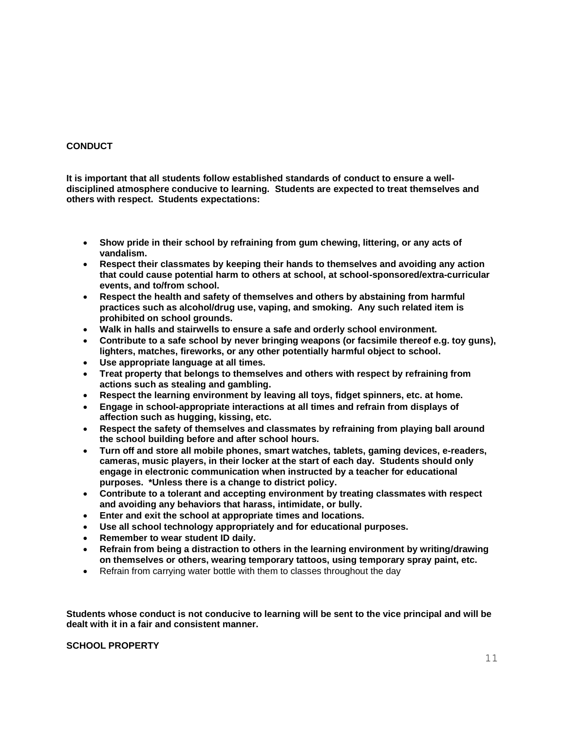## **CONDUCT**

**It is important that all students follow established standards of conduct to ensure a welldisciplined atmosphere conducive to learning. Students are expected to treat themselves and others with respect. Students expectations:**

- **Show pride in their school by refraining from gum chewing, littering, or any acts of vandalism.**
- **Respect their classmates by keeping their hands to themselves and avoiding any action that could cause potential harm to others at school, at school-sponsored/extra-curricular events, and to/from school.**
- **Respect the health and safety of themselves and others by abstaining from harmful practices such as alcohol/drug use, vaping, and smoking. Any such related item is prohibited on school grounds.**
- **Walk in halls and stairwells to ensure a safe and orderly school environment.**
- **Contribute to a safe school by never bringing weapons (or facsimile thereof e.g. toy guns), lighters, matches, fireworks, or any other potentially harmful object to school.**
- **Use appropriate language at all times.**
- **Treat property that belongs to themselves and others with respect by refraining from actions such as stealing and gambling.**
- **Respect the learning environment by leaving all toys, fidget spinners, etc. at home.**
- **Engage in school-appropriate interactions at all times and refrain from displays of affection such as hugging, kissing, etc.**
- **Respect the safety of themselves and classmates by refraining from playing ball around the school building before and after school hours.**
- **Turn off and store all mobile phones, smart watches, tablets, gaming devices, e-readers, cameras, music players, in their locker at the start of each day. Students should only engage in electronic communication when instructed by a teacher for educational purposes. \*Unless there is a change to district policy.**
- **Contribute to a tolerant and accepting environment by treating classmates with respect and avoiding any behaviors that harass, intimidate, or bully.**
- **Enter and exit the school at appropriate times and locations.**
- **Use all school technology appropriately and for educational purposes.**
- **Remember to wear student ID daily.**
- **Refrain from being a distraction to others in the learning environment by writing/drawing on themselves or others, wearing temporary tattoos, using temporary spray paint, etc.**
- Refrain from carrying water bottle with them to classes throughout the day

**Students whose conduct is not conducive to learning will be sent to the vice principal and will be dealt with it in a fair and consistent manner.** 

## **SCHOOL PROPERTY**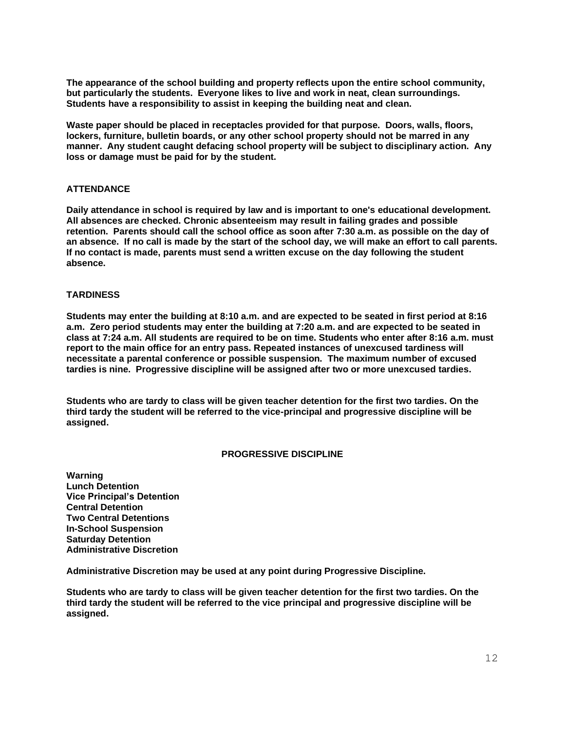**The appearance of the school building and property reflects upon the entire school community, but particularly the students. Everyone likes to live and work in neat, clean surroundings. Students have a responsibility to assist in keeping the building neat and clean.**

**Waste paper should be placed in receptacles provided for that purpose. Doors, walls, floors, lockers, furniture, bulletin boards, or any other school property should not be marred in any manner. Any student caught defacing school property will be subject to disciplinary action. Any loss or damage must be paid for by the student.**

### **ATTENDANCE**

**Daily attendance in school is required by law and is important to one's educational development. All absences are checked. Chronic absenteeism may result in failing grades and possible retention. Parents should call the school office as soon after 7:30 a.m. as possible on the day of an absence. If no call is made by the start of the school day, we will make an effort to call parents. If no contact is made, parents must send a written excuse on the day following the student absence.**

### **TARDINESS**

**Students may enter the building at 8:10 a.m. and are expected to be seated in first period at 8:16 a.m. Zero period students may enter the building at 7:20 a.m. and are expected to be seated in class at 7:24 a.m. All students are required to be on time. Students who enter after 8:16 a.m. must report to the main office for an entry pass. Repeated instances of unexcused tardiness will necessitate a parental conference or possible suspension. The maximum number of excused tardies is nine. Progressive discipline will be assigned after two or more unexcused tardies.**

**Students who are tardy to class will be given teacher detention for the first two tardies. On the third tardy the student will be referred to the vice-principal and progressive discipline will be assigned.** 

### **PROGRESSIVE DISCIPLINE**

**Warning Lunch Detention Vice Principal's Detention Central Detention Two Central Detentions In-School Suspension Saturday Detention Administrative Discretion**

**Administrative Discretion may be used at any point during Progressive Discipline.**

**Students who are tardy to class will be given teacher detention for the first two tardies. On the third tardy the student will be referred to the vice principal and progressive discipline will be assigned.**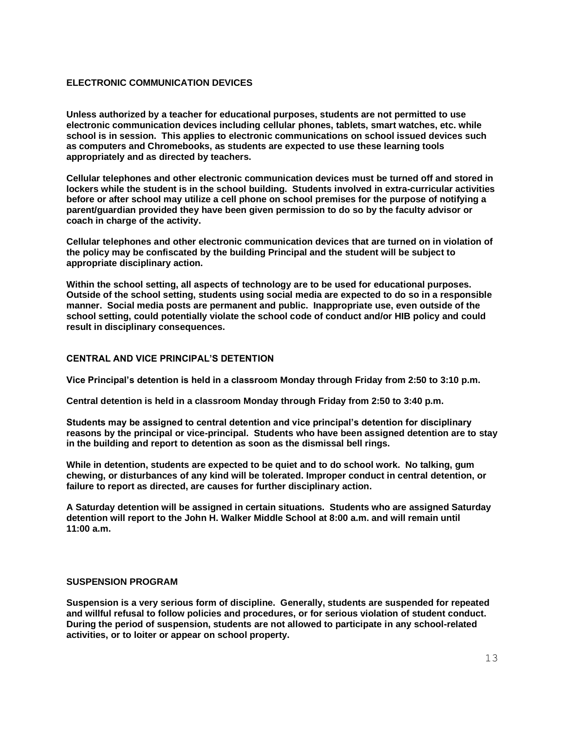### **ELECTRONIC COMMUNICATION DEVICES**

**Unless authorized by a teacher for educational purposes, students are not permitted to use electronic communication devices including cellular phones, tablets, smart watches, etc. while school is in session. This applies to electronic communications on school issued devices such as computers and Chromebooks, as students are expected to use these learning tools appropriately and as directed by teachers.** 

**Cellular telephones and other electronic communication devices must be turned off and stored in lockers while the student is in the school building. Students involved in extra-curricular activities before or after school may utilize a cell phone on school premises for the purpose of notifying a parent/guardian provided they have been given permission to do so by the faculty advisor or coach in charge of the activity.**

**Cellular telephones and other electronic communication devices that are turned on in violation of the policy may be confiscated by the building Principal and the student will be subject to appropriate disciplinary action.**

**Within the school setting, all aspects of technology are to be used for educational purposes. Outside of the school setting, students using social media are expected to do so in a responsible manner. Social media posts are permanent and public. Inappropriate use, even outside of the school setting, could potentially violate the school code of conduct and/or HIB policy and could result in disciplinary consequences.** 

#### **CENTRAL AND VICE PRINCIPAL'S DETENTION**

**Vice Principal's detention is held in a classroom Monday through Friday from 2:50 to 3:10 p.m.** 

**Central detention is held in a classroom Monday through Friday from 2:50 to 3:40 p.m.** 

**Students may be assigned to central detention and vice principal's detention for disciplinary reasons by the principal or vice-principal. Students who have been assigned detention are to stay in the building and report to detention as soon as the dismissal bell rings.** 

**While in detention, students are expected to be quiet and to do school work. No talking, gum chewing, or disturbances of any kind will be tolerated. Improper conduct in central detention, or failure to report as directed, are causes for further disciplinary action.**

**A Saturday detention will be assigned in certain situations. Students who are assigned Saturday detention will report to the John H. Walker Middle School at 8:00 a.m. and will remain until 11:00 a.m.** 

#### **SUSPENSION PROGRAM**

**Suspension is a very serious form of discipline. Generally, students are suspended for repeated and willful refusal to follow policies and procedures, or for serious violation of student conduct. During the period of suspension, students are not allowed to participate in any school-related activities, or to loiter or appear on school property.**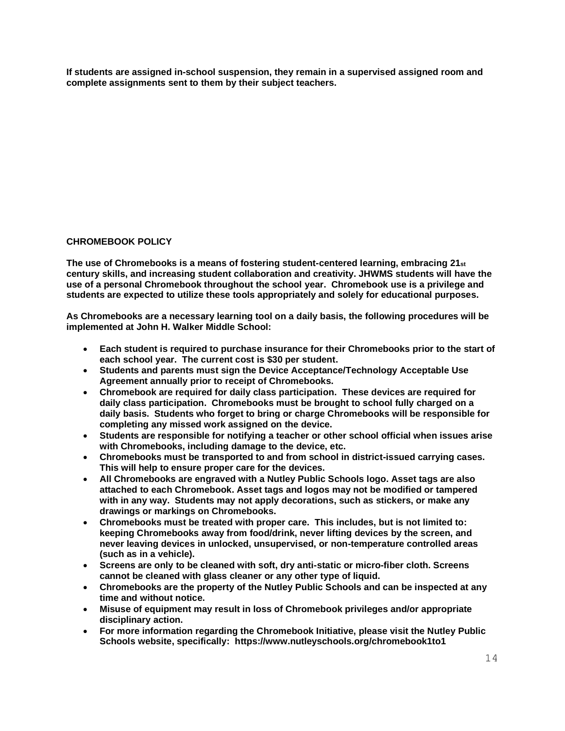**If students are assigned in-school suspension, they remain in a supervised assigned room and complete assignments sent to them by their subject teachers.**

## **CHROMEBOOK POLICY**

**The use of Chromebooks is a means of fostering student-centered learning, embracing 21st century skills, and increasing student collaboration and creativity. JHWMS students will have the use of a personal Chromebook throughout the school year. Chromebook use is a privilege and students are expected to utilize these tools appropriately and solely for educational purposes.** 

**As Chromebooks are a necessary learning tool on a daily basis, the following procedures will be implemented at John H. Walker Middle School:**

- **Each student is required to purchase insurance for their Chromebooks prior to the start of each school year. The current cost is \$30 per student.**
- **Students and parents must sign the Device Acceptance/Technology Acceptable Use Agreement annually prior to receipt of Chromebooks.**
- **Chromebook are required for daily class participation. These devices are required for daily class participation. Chromebooks must be brought to school fully charged on a daily basis. Students who forget to bring or charge Chromebooks will be responsible for completing any missed work assigned on the device.**
- **Students are responsible for notifying a teacher or other school official when issues arise with Chromebooks, including damage to the device, etc.**
- **Chromebooks must be transported to and from school in district-issued carrying cases. This will help to ensure proper care for the devices.**
- **All Chromebooks are engraved with a Nutley Public Schools logo. Asset tags are also attached to each Chromebook. Asset tags and logos may not be modified or tampered with in any way. Students may not apply decorations, such as stickers, or make any drawings or markings on Chromebooks.**
- **Chromebooks must be treated with proper care. This includes, but is not limited to: keeping Chromebooks away from food/drink, never lifting devices by the screen, and never leaving devices in unlocked, unsupervised, or non-temperature controlled areas (such as in a vehicle).**
- **Screens are only to be cleaned with soft, dry anti-static or micro-fiber cloth. Screens cannot be cleaned with glass cleaner or any other type of liquid.**
- **Chromebooks are the property of the Nutley Public Schools and can be inspected at any time and without notice.**
- **Misuse of equipment may result in loss of Chromebook privileges and/or appropriate disciplinary action.**
- **For more information regarding the Chromebook Initiative, please visit the Nutley Public Schools website, specifically: https://www.nutleyschools.org/chromebook1to1**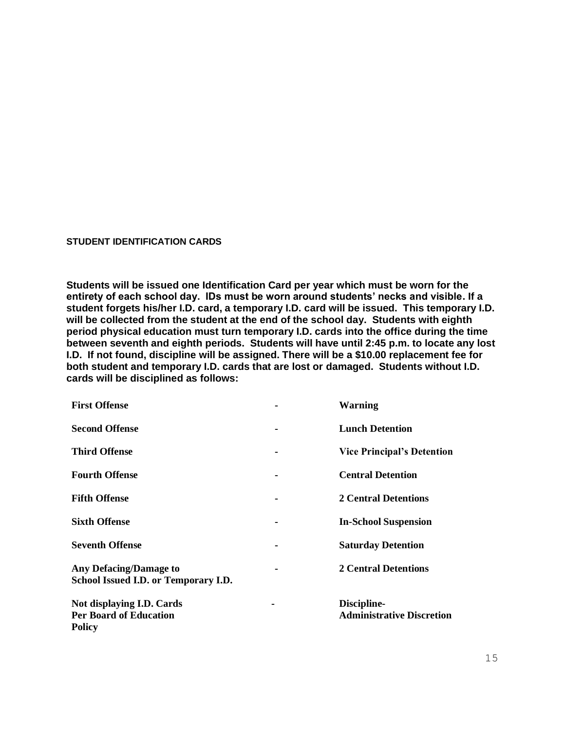#### **STUDENT IDENTIFICATION CARDS**

**Students will be issued one Identification Card per year which must be worn for the entirety of each school day. IDs must be worn around students' necks and visible. If a student forgets his/her I.D. card, a temporary I.D. card will be issued. This temporary I.D. will be collected from the student at the end of the school day. Students with eighth period physical education must turn temporary I.D. cards into the office during the time between seventh and eighth periods. Students will have until 2:45 p.m. to locate any lost I.D. If not found, discipline will be assigned. There will be a \$10.00 replacement fee for both student and temporary I.D. cards that are lost or damaged. Students without I.D. cards will be disciplined as follows:** 

| <b>First Offense</b>                                                        | <b>Warning</b>                                  |
|-----------------------------------------------------------------------------|-------------------------------------------------|
| <b>Second Offense</b>                                                       | <b>Lunch Detention</b>                          |
| <b>Third Offense</b>                                                        | <b>Vice Principal's Detention</b>               |
| <b>Fourth Offense</b>                                                       | <b>Central Detention</b>                        |
| <b>Fifth Offense</b>                                                        | <b>2 Central Detentions</b>                     |
| <b>Sixth Offense</b>                                                        | <b>In-School Suspension</b>                     |
| <b>Seventh Offense</b>                                                      | <b>Saturday Detention</b>                       |
| <b>Any Defacing/Damage to</b><br>School Issued I.D. or Temporary I.D.       | <b>2 Central Detentions</b>                     |
| Not displaying I.D. Cards<br><b>Per Board of Education</b><br><b>Policy</b> | Discipline-<br><b>Administrative Discretion</b> |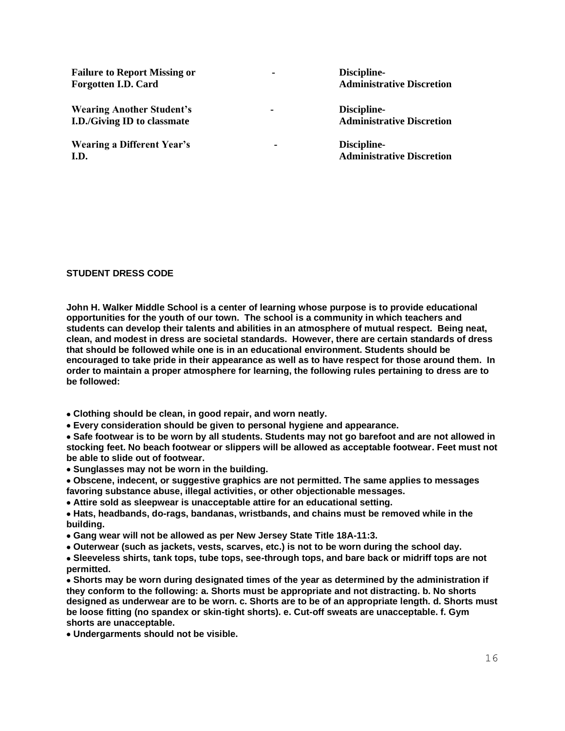**Failure to Report Missing or - Forgotten I.D. Card** 

**Wearing Another Student's - I.D./Giving ID to classmate**

**Wearing a Different Year's - I.D.**

**Discipline-Administrative Discretion**

**Discipline-Administrative Discretion**

**Discipline-Administrative Discretion**

### **STUDENT DRESS CODE**

**John H. Walker Middle School is a center of learning whose purpose is to provide educational opportunities for the youth of our town. The school is a community in which teachers and students can develop their talents and abilities in an atmosphere of mutual respect. Being neat, clean, and modest in dress are societal standards. However, there are certain standards of dress that should be followed while one is in an educational environment. Students should be encouraged to take pride in their appearance as well as to have respect for those around them. In order to maintain a proper atmosphere for learning, the following rules pertaining to dress are to be followed:**

• **Clothing should be clean, in good repair, and worn neatly.** 

• **Every consideration should be given to personal hygiene and appearance.** 

• **Safe footwear is to be worn by all students. Students may not go barefoot and are not allowed in stocking feet. No beach footwear or slippers will be allowed as acceptable footwear. Feet must not be able to slide out of footwear.** 

• **Sunglasses may not be worn in the building.**

• **Obscene, indecent, or suggestive graphics are not permitted. The same applies to messages favoring substance abuse, illegal activities, or other objectionable messages.** 

• **Attire sold as sleepwear is unacceptable attire for an educational setting.** 

• **Hats, headbands, do-rags, bandanas, wristbands, and chains must be removed while in the building.**

• **Gang wear will not be allowed as per New Jersey State Title 18A-11:3.** 

• **Outerwear (such as jackets, vests, scarves, etc.) is not to be worn during the school day.**

• **Sleeveless shirts, tank tops, tube tops, see-through tops, and bare back or midriff tops are not permitted.** 

• **Shorts may be worn during designated times of the year as determined by the administration if they conform to the following: a. Shorts must be appropriate and not distracting. b. No shorts designed as underwear are to be worn. c. Shorts are to be of an appropriate length. d. Shorts must be loose fitting (no spandex or skin-tight shorts). e. Cut-off sweats are unacceptable. f. Gym shorts are unacceptable.** 

• **Undergarments should not be visible.**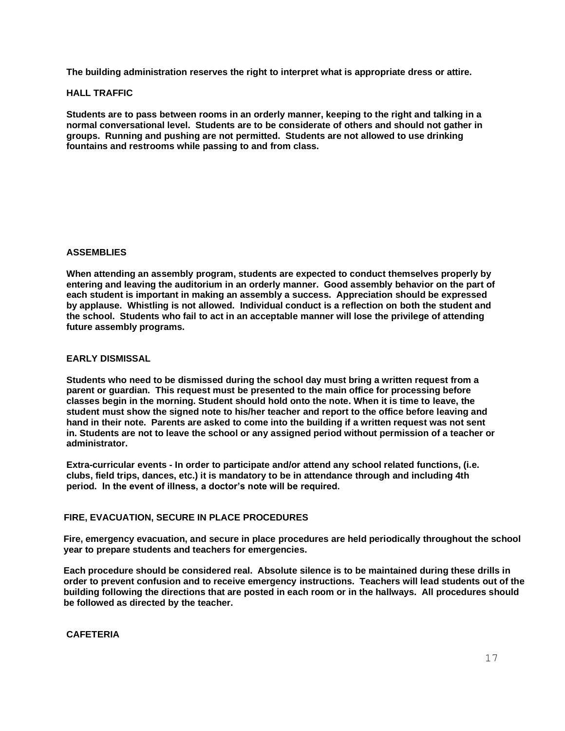**The building administration reserves the right to interpret what is appropriate dress or attire.**

#### **HALL TRAFFIC**

**Students are to pass between rooms in an orderly manner, keeping to the right and talking in a normal conversational level. Students are to be considerate of others and should not gather in groups. Running and pushing are not permitted. Students are not allowed to use drinking fountains and restrooms while passing to and from class.** 

### **ASSEMBLIES**

**When attending an assembly program, students are expected to conduct themselves properly by entering and leaving the auditorium in an orderly manner. Good assembly behavior on the part of each student is important in making an assembly a success. Appreciation should be expressed by applause. Whistling is not allowed. Individual conduct is a reflection on both the student and the school. Students who fail to act in an acceptable manner will lose the privilege of attending future assembly programs.**

### **EARLY DISMISSAL**

**Students who need to be dismissed during the school day must bring a written request from a parent or guardian. This request must be presented to the main office for processing before classes begin in the morning. Student should hold onto the note. When it is time to leave, the student must show the signed note to his/her teacher and report to the office before leaving and hand in their note. Parents are asked to come into the building if a written request was not sent in. Students are not to leave the school or any assigned period without permission of a teacher or administrator.** 

**Extra-curricular events - In order to participate and/or attend any school related functions, (i.e. clubs, field trips, dances, etc.) it is mandatory to be in attendance through and including 4th period. In the event of illness, a doctor's note will be required.**

## **FIRE, EVACUATION, SECURE IN PLACE PROCEDURES**

**Fire, emergency evacuation, and secure in place procedures are held periodically throughout the school year to prepare students and teachers for emergencies.**

**Each procedure should be considered real. Absolute silence is to be maintained during these drills in order to prevent confusion and to receive emergency instructions. Teachers will lead students out of the building following the directions that are posted in each room or in the hallways. All procedures should be followed as directed by the teacher.**

### **CAFETERIA**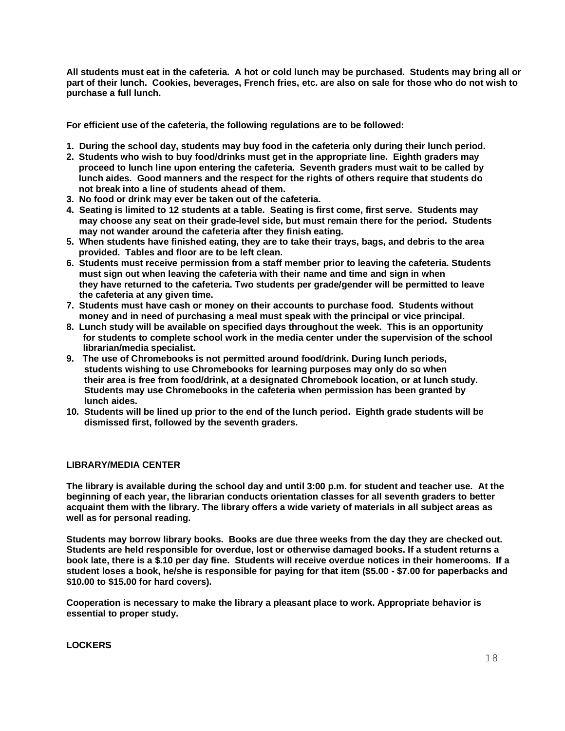**All students must eat in the cafeteria. A hot or cold lunch may be purchased. Students may bring all or part of their lunch. Cookies, beverages, French fries, etc. are also on sale for those who do not wish to purchase a full lunch.**

**For efficient use of the cafeteria, the following regulations are to be followed:**

- **1. During the school day, students may buy food in the cafeteria only during their lunch period.**
- **2. Students who wish to buy food/drinks must get in the appropriate line. Eighth graders may proceed to lunch line upon entering the cafeteria. Seventh graders must wait to be called by lunch aides. Good manners and the respect for the rights of others require that students do not break into a line of students ahead of them.**
- **3. No food or drink may ever be taken out of the cafeteria.**
- **4. Seating is limited to 12 students at a table. Seating is first come, first serve. Students may may choose any seat on their grade-level side, but must remain there for the period. Students may not wander around the cafeteria after they finish eating.**
- **5. When students have finished eating, they are to take their trays, bags, and debris to the area provided. Tables and floor are to be left clean.**
- **6. Students must receive permission from a staff member prior to leaving the cafeteria. Students must sign out when leaving the cafeteria with their name and time and sign in when they have returned to the cafeteria. Two students per grade/gender will be permitted to leave the cafeteria at any given time.**
- **7. Students must have cash or money on their accounts to purchase food. Students without** money and in need of purchasing a meal must speak with the principal or vice principal.
- **8. Lunch study will be available on specified days throughout the week. This is an opportunity for students to complete school work in the media center under the supervision of the school librarian/media specialist.**
- **9. The use of Chromebooks is not permitted around food/drink. During lunch periods, students wishing to use Chromebooks for learning purposes may only do so when their area is free from food/drink, at a designated Chromebook location, or at lunch study. Students may use Chromebooks in the cafeteria when permission has been granted by lunch aides.**
- **10. Students will be lined up prior to the end of the lunch period. Eighth grade students will be dismissed first, followed by the seventh graders.**

### **LIBRARY/MEDIA CENTER**

**The library is available during the school day and until 3:00 p.m. for student and teacher use. At the beginning of each year, the librarian conducts orientation classes for all seventh graders to better acquaint them with the library. The library offers a wide variety of materials in all subject areas as well as for personal reading.** 

**Students may borrow library books. Books are due three weeks from the day they are checked out. Students are held responsible for overdue, lost or otherwise damaged books. If a student returns a book late, there is a \$.10 per day fine. Students will receive overdue notices in their homerooms. If a student loses a book, he/she is responsible for paying for that item (\$5.00 - \$7.00 for paperbacks and \$10.00 to \$15.00 for hard covers).** 

**Cooperation is necessary to make the library a pleasant place to work. Appropriate behavior is essential to proper study.**

**LOCKERS**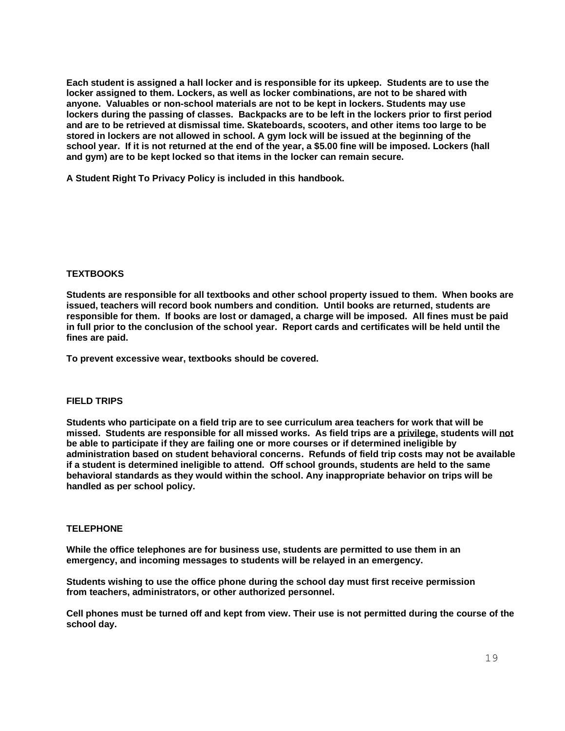**Each student is assigned a hall locker and is responsible for its upkeep. Students are to use the locker assigned to them. Lockers, as well as locker combinations, are not to be shared with anyone. Valuables or non-school materials are not to be kept in lockers. Students may use lockers during the passing of classes. Backpacks are to be left in the lockers prior to first period and are to be retrieved at dismissal time. Skateboards, scooters, and other items too large to be stored in lockers are not allowed in school. A gym lock will be issued at the beginning of the school year. If it is not returned at the end of the year, a \$5.00 fine will be imposed. Lockers (hall and gym) are to be kept locked so that items in the locker can remain secure.** 

**A Student Right To Privacy Policy is included in this handbook.**

### **TEXTBOOKS**

**Students are responsible for all textbooks and other school property issued to them. When books are issued, teachers will record book numbers and condition. Until books are returned, students are responsible for them. If books are lost or damaged, a charge will be imposed. All fines must be paid in full prior to the conclusion of the school year. Report cards and certificates will be held until the fines are paid.**

**To prevent excessive wear, textbooks should be covered.**

## **FIELD TRIPS**

**Students who participate on a field trip are to see curriculum area teachers for work that will be missed. Students are responsible for all missed works. As field trips are a privilege, students will not be able to participate if they are failing one or more courses or if determined ineligible by administration based on student behavioral concerns. Refunds of field trip costs may not be available if a student is determined ineligible to attend. Off school grounds, students are held to the same behavioral standards as they would within the school. Any inappropriate behavior on trips will be handled as per school policy.** 

## **TELEPHONE**

**While the office telephones are for business use, students are permitted to use them in an emergency, and incoming messages to students will be relayed in an emergency.** 

**Students wishing to use the office phone during the school day must first receive permission from teachers, administrators, or other authorized personnel.** 

**Cell phones must be turned off and kept from view. Their use is not permitted during the course of the school day.**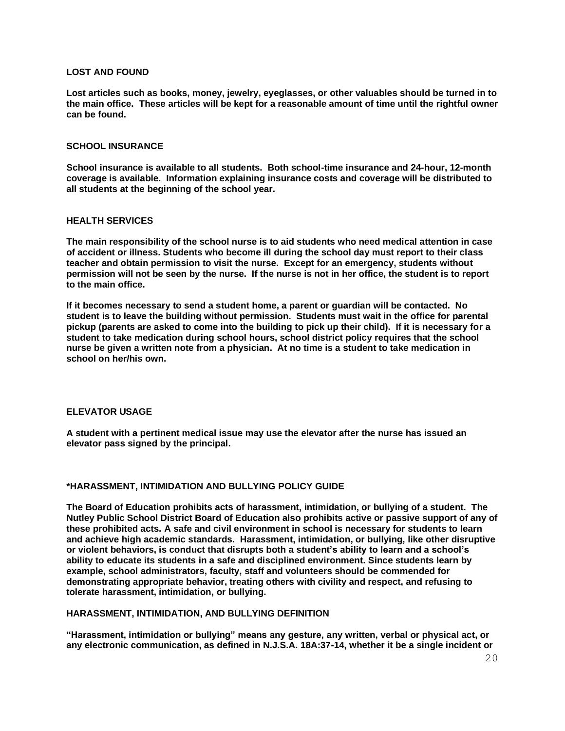### **LOST AND FOUND**

**Lost articles such as books, money, jewelry, eyeglasses, or other valuables should be turned in to the main office. These articles will be kept for a reasonable amount of time until the rightful owner can be found.**

#### **SCHOOL INSURANCE**

**School insurance is available to all students. Both school-time insurance and 24-hour, 12-month coverage is available. Information explaining insurance costs and coverage will be distributed to all students at the beginning of the school year.**

#### **HEALTH SERVICES**

**The main responsibility of the school nurse is to aid students who need medical attention in case of accident or illness. Students who become ill during the school day must report to their class teacher and obtain permission to visit the nurse. Except for an emergency, students without permission will not be seen by the nurse. If the nurse is not in her office, the student is to report to the main office.**

**If it becomes necessary to send a student home, a parent or guardian will be contacted. No student is to leave the building without permission. Students must wait in the office for parental pickup (parents are asked to come into the building to pick up their child). If it is necessary for a student to take medication during school hours, school district policy requires that the school nurse be given a written note from a physician. At no time is a student to take medication in school on her/his own.**

#### **ELEVATOR USAGE**

**A student with a pertinent medical issue may use the elevator after the nurse has issued an elevator pass signed by the principal.**

#### **\*HARASSMENT, INTIMIDATION AND BULLYING POLICY GUIDE**

**The Board of Education prohibits acts of harassment, intimidation, or bullying of a student. The Nutley Public School District Board of Education also prohibits active or passive support of any of these prohibited acts. A safe and civil environment in school is necessary for students to learn and achieve high academic standards. Harassment, intimidation, or bullying, like other disruptive or violent behaviors, is conduct that disrupts both a student's ability to learn and a school's ability to educate its students in a safe and disciplined environment. Since students learn by example, school administrators, faculty, staff and volunteers should be commended for demonstrating appropriate behavior, treating others with civility and respect, and refusing to tolerate harassment, intimidation, or bullying.**

### **HARASSMENT, INTIMIDATION, AND BULLYING DEFINITION**

**"Harassment, intimidation or bullying" means any gesture, any written, verbal or physical act, or any electronic communication, as defined in N.J.S.A. 18A:37-14, whether it be a single incident or**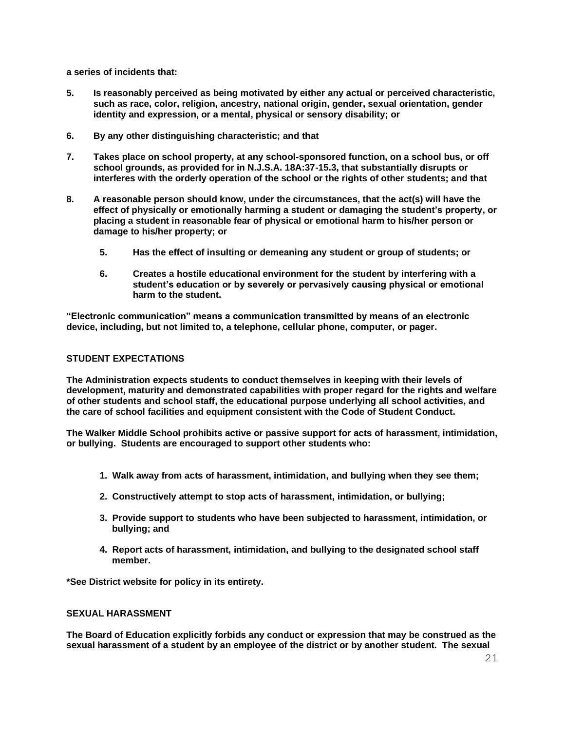**a series of incidents that:**

- **5. Is reasonably perceived as being motivated by either any actual or perceived characteristic, such as race, color, religion, ancestry, national origin, gender, sexual orientation, gender identity and expression, or a mental, physical or sensory disability; or**
- **6. By any other distinguishing characteristic; and that**
- **7. Takes place on school property, at any school-sponsored function, on a school bus, or off school grounds, as provided for in N.J.S.A. 18A:37-15.3, that substantially disrupts or interferes with the orderly operation of the school or the rights of other students; and that**
- **8. A reasonable person should know, under the circumstances, that the act(s) will have the effect of physically or emotionally harming a student or damaging the student's property, or placing a student in reasonable fear of physical or emotional harm to his/her person or damage to his/her property; or**
	- **5. Has the effect of insulting or demeaning any student or group of students; or**
	- **6. Creates a hostile educational environment for the student by interfering with a student's education or by severely or pervasively causing physical or emotional harm to the student.**

**"Electronic communication" means a communication transmitted by means of an electronic device, including, but not limited to, a telephone, cellular phone, computer, or pager.**

## **STUDENT EXPECTATIONS**

**The Administration expects students to conduct themselves in keeping with their levels of development, maturity and demonstrated capabilities with proper regard for the rights and welfare of other students and school staff, the educational purpose underlying all school activities, and the care of school facilities and equipment consistent with the Code of Student Conduct.**

**The Walker Middle School prohibits active or passive support for acts of harassment, intimidation, or bullying. Students are encouraged to support other students who:**

- **1. Walk away from acts of harassment, intimidation, and bullying when they see them;**
- **2. Constructively attempt to stop acts of harassment, intimidation, or bullying;**
- **3. Provide support to students who have been subjected to harassment, intimidation, or bullying; and**
- **4. Report acts of harassment, intimidation, and bullying to the designated school staff member.**

**\*See District website for policy in its entirety.**

### **SEXUAL HARASSMENT**

**The Board of Education explicitly forbids any conduct or expression that may be construed as the sexual harassment of a student by an employee of the district or by another student. The sexual**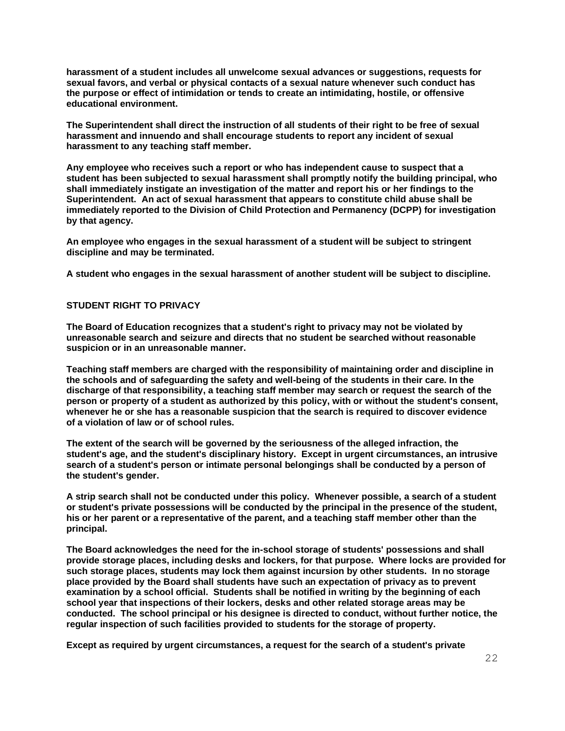**harassment of a student includes all unwelcome sexual advances or suggestions, requests for sexual favors, and verbal or physical contacts of a sexual nature whenever such conduct has the purpose or effect of intimidation or tends to create an intimidating, hostile, or offensive educational environment.**

**The Superintendent shall direct the instruction of all students of their right to be free of sexual harassment and innuendo and shall encourage students to report any incident of sexual harassment to any teaching staff member.**

**Any employee who receives such a report or who has independent cause to suspect that a student has been subjected to sexual harassment shall promptly notify the building principal, who shall immediately instigate an investigation of the matter and report his or her findings to the Superintendent. An act of sexual harassment that appears to constitute child abuse shall be immediately reported to the Division of Child Protection and Permanency (DCPP) for investigation by that agency.**

**An employee who engages in the sexual harassment of a student will be subject to stringent discipline and may be terminated.** 

**A student who engages in the sexual harassment of another student will be subject to discipline.**

## **STUDENT RIGHT TO PRIVACY**

**The Board of Education recognizes that a student's right to privacy may not be violated by unreasonable search and seizure and directs that no student be searched without reasonable suspicion or in an unreasonable manner.**

**Teaching staff members are charged with the responsibility of maintaining order and discipline in the schools and of safeguarding the safety and well-being of the students in their care. In the discharge of that responsibility, a teaching staff member may search or request the search of the person or property of a student as authorized by this policy, with or without the student's consent, whenever he or she has a reasonable suspicion that the search is required to discover evidence of a violation of law or of school rules.**

**The extent of the search will be governed by the seriousness of the alleged infraction, the student's age, and the student's disciplinary history. Except in urgent circumstances, an intrusive search of a student's person or intimate personal belongings shall be conducted by a person of the student's gender.**

**A strip search shall not be conducted under this policy. Whenever possible, a search of a student or student's private possessions will be conducted by the principal in the presence of the student, his or her parent or a representative of the parent, and a teaching staff member other than the principal.**

**The Board acknowledges the need for the in-school storage of students' possessions and shall provide storage places, including desks and lockers, for that purpose. Where locks are provided for such storage places, students may lock them against incursion by other students. In no storage place provided by the Board shall students have such an expectation of privacy as to prevent examination by a school official. Students shall be notified in writing by the beginning of each school year that inspections of their lockers, desks and other related storage areas may be conducted. The school principal or his designee is directed to conduct, without further notice, the regular inspection of such facilities provided to students for the storage of property.**

**Except as required by urgent circumstances, a request for the search of a student's private**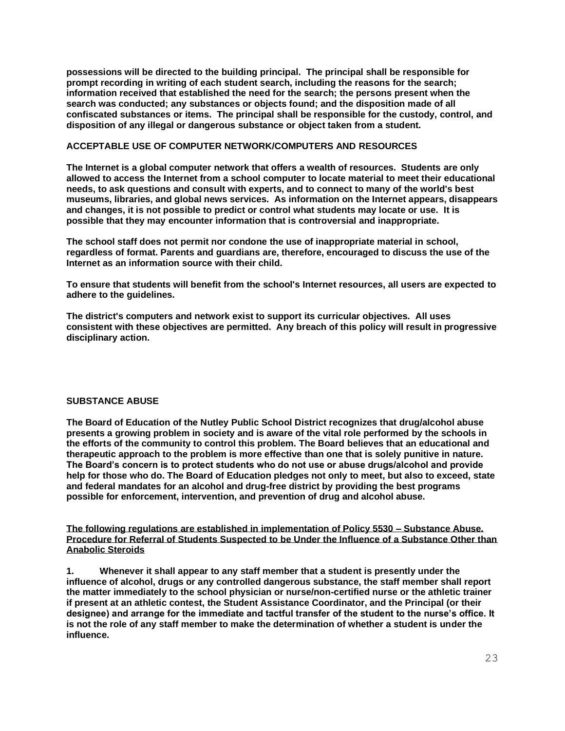**possessions will be directed to the building principal. The principal shall be responsible for prompt recording in writing of each student search, including the reasons for the search; information received that established the need for the search; the persons present when the search was conducted; any substances or objects found; and the disposition made of all confiscated substances or items. The principal shall be responsible for the custody, control, and disposition of any illegal or dangerous substance or object taken from a student.** 

## **ACCEPTABLE USE OF COMPUTER NETWORK/COMPUTERS AND RESOURCES**

**The Internet is a global computer network that offers a wealth of resources. Students are only allowed to access the Internet from a school computer to locate material to meet their educational needs, to ask questions and consult with experts, and to connect to many of the world's best museums, libraries, and global news services. As information on the Internet appears, disappears and changes, it is not possible to predict or control what students may locate or use. It is possible that they may encounter information that is controversial and inappropriate.**

**The school staff does not permit nor condone the use of inappropriate material in school, regardless of format. Parents and guardians are, therefore, encouraged to discuss the use of the Internet as an information source with their child.**

**To ensure that students will benefit from the school's Internet resources, all users are expected to adhere to the guidelines.**

**The district's computers and network exist to support its curricular objectives. All uses consistent with these objectives are permitted. Any breach of this policy will result in progressive disciplinary action.**

## **SUBSTANCE ABUSE**

**The Board of Education of the Nutley Public School District recognizes that drug/alcohol abuse presents a growing problem in society and is aware of the vital role performed by the schools in the efforts of the community to control this problem. The Board believes that an educational and therapeutic approach to the problem is more effective than one that is solely punitive in nature. The Board's concern is to protect students who do not use or abuse drugs/alcohol and provide help for those who do. The Board of Education pledges not only to meet, but also to exceed, state and federal mandates for an alcohol and drug-free district by providing the best programs possible for enforcement, intervention, and prevention of drug and alcohol abuse.**

**The following regulations are established in implementation of Policy 5530 – Substance Abuse. Procedure for Referral of Students Suspected to be Under the Influence of a Substance Other than Anabolic Steroids**

**1. Whenever it shall appear to any staff member that a student is presently under the influence of alcohol, drugs or any controlled dangerous substance, the staff member shall report the matter immediately to the school physician or nurse/non-certified nurse or the athletic trainer if present at an athletic contest, the Student Assistance Coordinator, and the Principal (or their designee) and arrange for the immediate and tactful transfer of the student to the nurse's office. It is not the role of any staff member to make the determination of whether a student is under the influence.**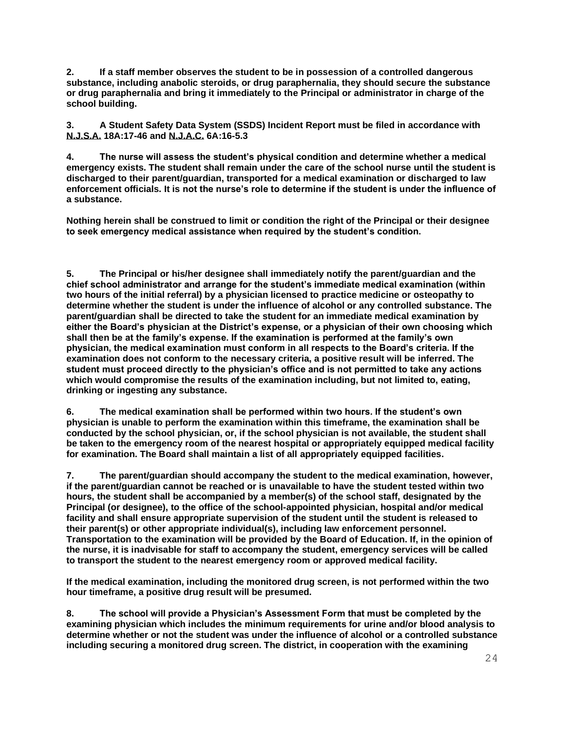**2. If a staff member observes the student to be in possession of a controlled dangerous substance, including anabolic steroids, or drug paraphernalia, they should secure the substance or drug paraphernalia and bring it immediately to the Principal or administrator in charge of the school building.** 

**3. A Student Safety Data System (SSDS) Incident Report must be filed in accordance with N.J.S.A. 18A:17-46 and N.J.A.C. 6A:16-5.3** 

**4. The nurse will assess the student's physical condition and determine whether a medical emergency exists. The student shall remain under the care of the school nurse until the student is discharged to their parent/guardian, transported for a medical examination or discharged to law enforcement officials. It is not the nurse's role to determine if the student is under the influence of a substance.** 

**Nothing herein shall be construed to limit or condition the right of the Principal or their designee to seek emergency medical assistance when required by the student's condition.** 

**5. The Principal or his/her designee shall immediately notify the parent/guardian and the chief school administrator and arrange for the student's immediate medical examination (within two hours of the initial referral) by a physician licensed to practice medicine or osteopathy to determine whether the student is under the influence of alcohol or any controlled substance. The parent/guardian shall be directed to take the student for an immediate medical examination by either the Board's physician at the District's expense, or a physician of their own choosing which shall then be at the family's expense. If the examination is performed at the family's own physician, the medical examination must conform in all respects to the Board's criteria. If the examination does not conform to the necessary criteria, a positive result will be inferred. The student must proceed directly to the physician's office and is not permitted to take any actions which would compromise the results of the examination including, but not limited to, eating, drinking or ingesting any substance.** 

**6. The medical examination shall be performed within two hours. If the student's own physician is unable to perform the examination within this timeframe, the examination shall be conducted by the school physician, or, if the school physician is not available, the student shall be taken to the emergency room of the nearest hospital or appropriately equipped medical facility for examination. The Board shall maintain a list of all appropriately equipped facilities.** 

**7. The parent/guardian should accompany the student to the medical examination, however, if the parent/guardian cannot be reached or is unavailable to have the student tested within two hours, the student shall be accompanied by a member(s) of the school staff, designated by the Principal (or designee), to the office of the school-appointed physician, hospital and/or medical facility and shall ensure appropriate supervision of the student until the student is released to their parent(s) or other appropriate individual(s), including law enforcement personnel. Transportation to the examination will be provided by the Board of Education. If, in the opinion of the nurse, it is inadvisable for staff to accompany the student, emergency services will be called to transport the student to the nearest emergency room or approved medical facility.** 

**If the medical examination, including the monitored drug screen, is not performed within the two hour timeframe, a positive drug result will be presumed.** 

**8. The school will provide a Physician's Assessment Form that must be completed by the examining physician which includes the minimum requirements for urine and/or blood analysis to determine whether or not the student was under the influence of alcohol or a controlled substance including securing a monitored drug screen. The district, in cooperation with the examining**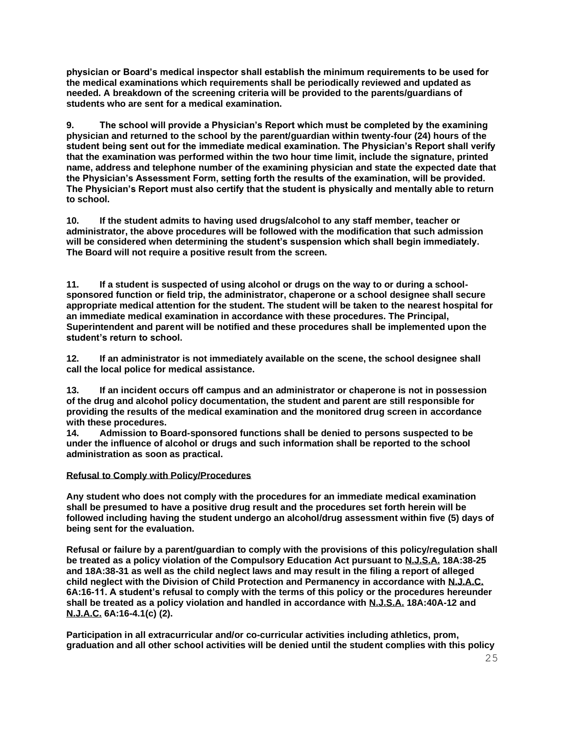**physician or Board's medical inspector shall establish the minimum requirements to be used for the medical examinations which requirements shall be periodically reviewed and updated as needed. A breakdown of the screening criteria will be provided to the parents/guardians of students who are sent for a medical examination.** 

**9. The school will provide a Physician's Report which must be completed by the examining physician and returned to the school by the parent/guardian within twenty-four (24) hours of the student being sent out for the immediate medical examination. The Physician's Report shall verify that the examination was performed within the two hour time limit, include the signature, printed name, address and telephone number of the examining physician and state the expected date that the Physician's Assessment Form, setting forth the results of the examination, will be provided. The Physician's Report must also certify that the student is physically and mentally able to return to school.** 

**10. If the student admits to having used drugs/alcohol to any staff member, teacher or administrator, the above procedures will be followed with the modification that such admission will be considered when determining the student's suspension which shall begin immediately. The Board will not require a positive result from the screen.** 

**11. If a student is suspected of using alcohol or drugs on the way to or during a schoolsponsored function or field trip, the administrator, chaperone or a school designee shall secure appropriate medical attention for the student. The student will be taken to the nearest hospital for an immediate medical examination in accordance with these procedures. The Principal, Superintendent and parent will be notified and these procedures shall be implemented upon the student's return to school.** 

**12. If an administrator is not immediately available on the scene, the school designee shall call the local police for medical assistance.** 

**13. If an incident occurs off campus and an administrator or chaperone is not in possession of the drug and alcohol policy documentation, the student and parent are still responsible for providing the results of the medical examination and the monitored drug screen in accordance with these procedures.** 

**14. Admission to Board-sponsored functions shall be denied to persons suspected to be under the influence of alcohol or drugs and such information shall be reported to the school administration as soon as practical.**

### **Refusal to Comply with Policy/Procedures**

**Any student who does not comply with the procedures for an immediate medical examination shall be presumed to have a positive drug result and the procedures set forth herein will be followed including having the student undergo an alcohol/drug assessment within five (5) days of being sent for the evaluation.**

**Refusal or failure by a parent/guardian to comply with the provisions of this policy/regulation shall be treated as a policy violation of the Compulsory Education Act pursuant to N.J.S.A. 18A:38-25 and 18A:38-31 as well as the child neglect laws and may result in the filing a report of alleged child neglect with the Division of Child Protection and Permanency in accordance with N.J.A.C. 6A:16-11. A student's refusal to comply with the terms of this policy or the procedures hereunder shall be treated as a policy violation and handled in accordance with N.J.S.A. 18A:40A-12 and N.J.A.C. 6A:16-4.1(c) (2).** 

**Participation in all extracurricular and/or co-curricular activities including athletics, prom, graduation and all other school activities will be denied until the student complies with this policy**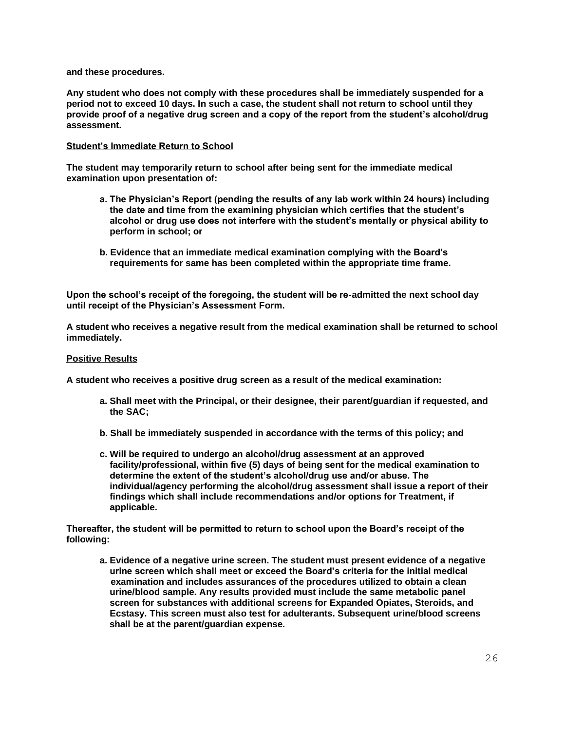**and these procedures.** 

**Any student who does not comply with these procedures shall be immediately suspended for a period not to exceed 10 days. In such a case, the student shall not return to school until they provide proof of a negative drug screen and a copy of the report from the student's alcohol/drug assessment.** 

### **Student's Immediate Return to School**

**The student may temporarily return to school after being sent for the immediate medical examination upon presentation of:**

- **a. The Physician's Report (pending the results of any lab work within 24 hours) including the date and time from the examining physician which certifies that the student's alcohol or drug use does not interfere with the student's mentally or physical ability to perform in school; or**
- **b. Evidence that an immediate medical examination complying with the Board's requirements for same has been completed within the appropriate time frame.**

**Upon the school's receipt of the foregoing, the student will be re-admitted the next school day until receipt of the Physician's Assessment Form.**

**A student who receives a negative result from the medical examination shall be returned to school immediately.** 

### **Positive Results**

**A student who receives a positive drug screen as a result of the medical examination:**

- **a. Shall meet with the Principal, or their designee, their parent/guardian if requested, and the SAC;**
- **b. Shall be immediately suspended in accordance with the terms of this policy; and**
- **c. Will be required to undergo an alcohol/drug assessment at an approved facility/professional, within five (5) days of being sent for the medical examination to determine the extent of the student's alcohol/drug use and/or abuse. The individual/agency performing the alcohol/drug assessment shall issue a report of their findings which shall include recommendations and/or options for Treatment, if applicable.**

**Thereafter, the student will be permitted to return to school upon the Board's receipt of the following:**

**a. Evidence of a negative urine screen. The student must present evidence of a negative urine screen which shall meet or exceed the Board's criteria for the initial medical examination and includes assurances of the procedures utilized to obtain a clean urine/blood sample. Any results provided must include the same metabolic panel screen for substances with additional screens for Expanded Opiates, Steroids, and Ecstasy. This screen must also test for adulterants. Subsequent urine/blood screens shall be at the parent/guardian expense.**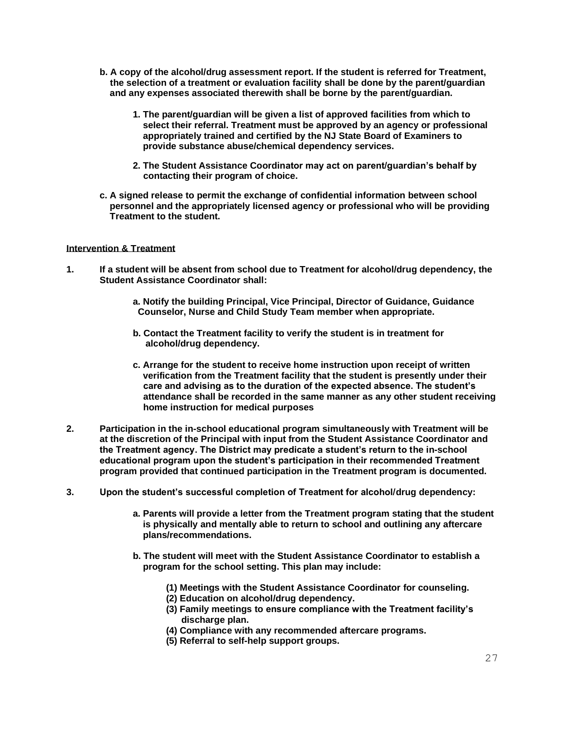- **b. A copy of the alcohol/drug assessment report. If the student is referred for Treatment, the selection of a treatment or evaluation facility shall be done by the parent/guardian and any expenses associated therewith shall be borne by the parent/guardian.** 
	- **1. The parent/guardian will be given a list of approved facilities from which to select their referral. Treatment must be approved by an agency or professional appropriately trained and certified by the NJ State Board of Examiners to provide substance abuse/chemical dependency services.**
	- **2. The Student Assistance Coordinator may act on parent/guardian's behalf by contacting their program of choice.**
- **c. A signed release to permit the exchange of confidential information between school personnel and the appropriately licensed agency or professional who will be providing Treatment to the student.**

### **Intervention & Treatment**

- **1. If a student will be absent from school due to Treatment for alcohol/drug dependency, the Student Assistance Coordinator shall:** 
	- **a. Notify the building Principal, Vice Principal, Director of Guidance, Guidance Counselor, Nurse and Child Study Team member when appropriate.**
	- **b. Contact the Treatment facility to verify the student is in treatment for alcohol/drug dependency.**
	- **c. Arrange for the student to receive home instruction upon receipt of written verification from the Treatment facility that the student is presently under their care and advising as to the duration of the expected absence. The student's attendance shall be recorded in the same manner as any other student receiving home instruction for medical purposes**
- **2. Participation in the in-school educational program simultaneously with Treatment will be at the discretion of the Principal with input from the Student Assistance Coordinator and the Treatment agency. The District may predicate a student's return to the in-school educational program upon the student's participation in their recommended Treatment program provided that continued participation in the Treatment program is documented.**
- **3. Upon the student's successful completion of Treatment for alcohol/drug dependency:**
	- **a. Parents will provide a letter from the Treatment program stating that the student is physically and mentally able to return to school and outlining any aftercare plans/recommendations.**
	- **b. The student will meet with the Student Assistance Coordinator to establish a program for the school setting. This plan may include:** 
		- **(1) Meetings with the Student Assistance Coordinator for counseling.**
		- **(2) Education on alcohol/drug dependency.**
		- **(3) Family meetings to ensure compliance with the Treatment facility's discharge plan.**
		- **(4) Compliance with any recommended aftercare programs.**
		- **(5) Referral to self-help support groups.**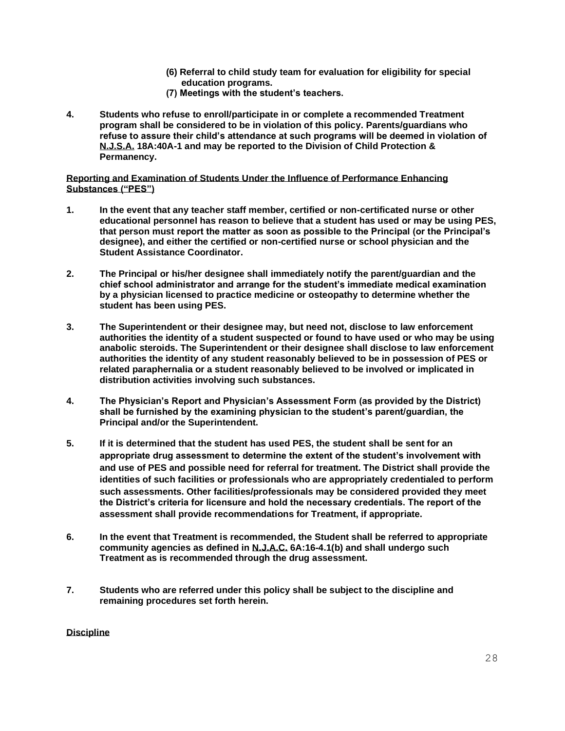- **(6) Referral to child study team for evaluation for eligibility for special education programs.**
- **(7) Meetings with the student's teachers.**
- **4. Students who refuse to enroll/participate in or complete a recommended Treatment program shall be considered to be in violation of this policy. Parents/guardians who refuse to assure their child's attendance at such programs will be deemed in violation of N.J.S.A. 18A:40A-1 and may be reported to the Division of Child Protection & Permanency.**

## **Reporting and Examination of Students Under the Influence of Performance Enhancing Substances ("PES")**

- **1. In the event that any teacher staff member, certified or non-certificated nurse or other educational personnel has reason to believe that a student has used or may be using PES, that person must report the matter as soon as possible to the Principal (or the Principal's designee), and either the certified or non-certified nurse or school physician and the Student Assistance Coordinator.**
- **2. The Principal or his/her designee shall immediately notify the parent/guardian and the chief school administrator and arrange for the student's immediate medical examination by a physician licensed to practice medicine or osteopathy to determine whether the student has been using PES.**
- **3. The Superintendent or their designee may, but need not, disclose to law enforcement authorities the identity of a student suspected or found to have used or who may be using anabolic steroids. The Superintendent or their designee shall disclose to law enforcement authorities the identity of any student reasonably believed to be in possession of PES or related paraphernalia or a student reasonably believed to be involved or implicated in distribution activities involving such substances.**
- **4. The Physician's Report and Physician's Assessment Form (as provided by the District) shall be furnished by the examining physician to the student's parent/guardian, the Principal and/or the Superintendent.**
- **5. If it is determined that the student has used PES, the student shall be sent for an appropriate drug assessment to determine the extent of the student's involvement with and use of PES and possible need for referral for treatment. The District shall provide the identities of such facilities or professionals who are appropriately credentialed to perform such assessments. Other facilities/professionals may be considered provided they meet the District's criteria for licensure and hold the necessary credentials. The report of the assessment shall provide recommendations for Treatment, if appropriate.**
- **6. In the event that Treatment is recommended, the Student shall be referred to appropriate community agencies as defined in N.J.A.C. 6A:16-4.1(b) and shall undergo such Treatment as is recommended through the drug assessment.**
- **7. Students who are referred under this policy shall be subject to the discipline and remaining procedures set forth herein.**

### **Discipline**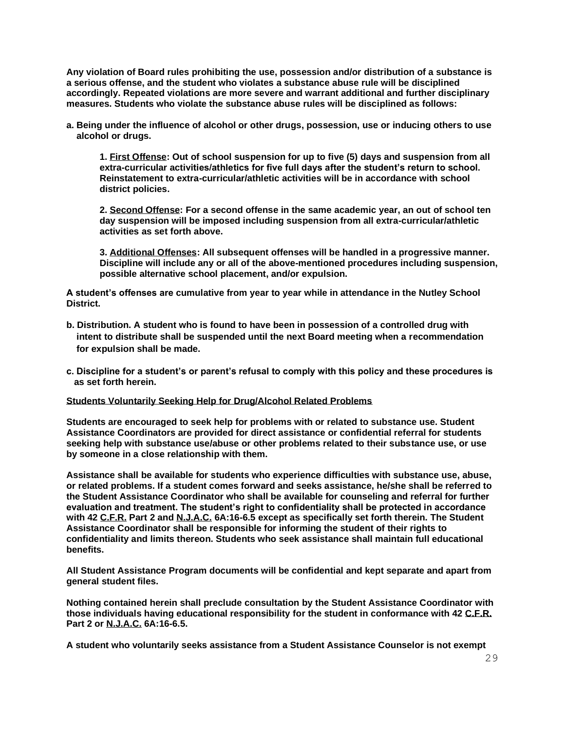**Any violation of Board rules prohibiting the use, possession and/or distribution of a substance is a serious offense, and the student who violates a substance abuse rule will be disciplined accordingly. Repeated violations are more severe and warrant additional and further disciplinary measures. Students who violate the substance abuse rules will be disciplined as follows:** 

**a. Being under the influence of alcohol or other drugs, possession, use or inducing others to use alcohol or drugs.** 

**1. First Offense: Out of school suspension for up to five (5) days and suspension from all extra-curricular activities/athletics for five full days after the student's return to school. Reinstatement to extra-curricular/athletic activities will be in accordance with school district policies.** 

**2. Second Offense: For a second offense in the same academic year, an out of school ten day suspension will be imposed including suspension from all extra-curricular/athletic activities as set forth above.** 

**3. Additional Offenses: All subsequent offenses will be handled in a progressive manner. Discipline will include any or all of the above-mentioned procedures including suspension, possible alternative school placement, and/or expulsion.** 

**A student's offenses are cumulative from year to year while in attendance in the Nutley School District.**

- **b. Distribution. A student who is found to have been in possession of a controlled drug with intent to distribute shall be suspended until the next Board meeting when a recommendation for expulsion shall be made.**
- **c. Discipline for a student's or parent's refusal to comply with this policy and these procedures is as set forth herein.**

#### **Students Voluntarily Seeking Help for Drug/Alcohol Related Problems**

**Students are encouraged to seek help for problems with or related to substance use. Student Assistance Coordinators are provided for direct assistance or confidential referral for students seeking help with substance use/abuse or other problems related to their substance use, or use by someone in a close relationship with them.**

**Assistance shall be available for students who experience difficulties with substance use, abuse, or related problems. If a student comes forward and seeks assistance, he/she shall be referred to the Student Assistance Coordinator who shall be available for counseling and referral for further evaluation and treatment. The student's right to confidentiality shall be protected in accordance with 42 C.F.R. Part 2 and N.J.A.C. 6A:16-6.5 except as specifically set forth therein. The Student Assistance Coordinator shall be responsible for informing the student of their rights to confidentiality and limits thereon. Students who seek assistance shall maintain full educational benefits.**

**All Student Assistance Program documents will be confidential and kept separate and apart from general student files.**

**Nothing contained herein shall preclude consultation by the Student Assistance Coordinator with those individuals having educational responsibility for the student in conformance with 42 C.F.R. Part 2 or N.J.A.C. 6A:16-6.5.**

**A student who voluntarily seeks assistance from a Student Assistance Counselor is not exempt**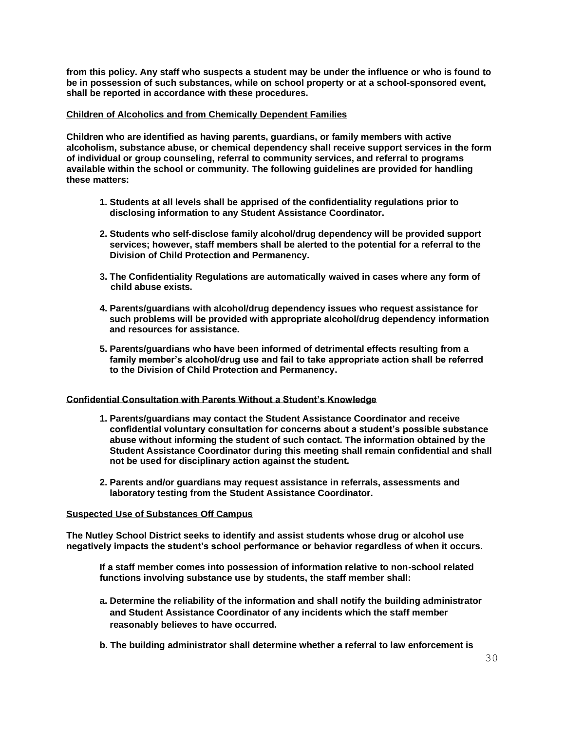**from this policy. Any staff who suspects a student may be under the influence or who is found to be in possession of such substances, while on school property or at a school-sponsored event, shall be reported in accordance with these procedures.**

### **Children of Alcoholics and from Chemically Dependent Families**

**Children who are identified as having parents, guardians, or family members with active alcoholism, substance abuse, or chemical dependency shall receive support services in the form of individual or group counseling, referral to community services, and referral to programs available within the school or community. The following guidelines are provided for handling these matters:**

- **1. Students at all levels shall be apprised of the confidentiality regulations prior to disclosing information to any Student Assistance Coordinator.**
- **2. Students who self-disclose family alcohol/drug dependency will be provided support services; however, staff members shall be alerted to the potential for a referral to the Division of Child Protection and Permanency.**
- **3. The Confidentiality Regulations are automatically waived in cases where any form of child abuse exists.**
- **4. Parents/guardians with alcohol/drug dependency issues who request assistance for such problems will be provided with appropriate alcohol/drug dependency information and resources for assistance.**
- **5. Parents/guardians who have been informed of detrimental effects resulting from a family member's alcohol/drug use and fail to take appropriate action shall be referred to the Division of Child Protection and Permanency.**

#### **Confidential Consultation with Parents Without a Student's Knowledge**

- **1. Parents/guardians may contact the Student Assistance Coordinator and receive confidential voluntary consultation for concerns about a student's possible substance abuse without informing the student of such contact. The information obtained by the Student Assistance Coordinator during this meeting shall remain confidential and shall not be used for disciplinary action against the student.**
- **2. Parents and/or guardians may request assistance in referrals, assessments and laboratory testing from the Student Assistance Coordinator.**

#### **Suspected Use of Substances Off Campus**

**The Nutley School District seeks to identify and assist students whose drug or alcohol use negatively impacts the student's school performance or behavior regardless of when it occurs.** 

**If a staff member comes into possession of information relative to non-school related functions involving substance use by students, the staff member shall:** 

- **a. Determine the reliability of the information and shall notify the building administrator and Student Assistance Coordinator of any incidents which the staff member reasonably believes to have occurred.**
- **b. The building administrator shall determine whether a referral to law enforcement is**